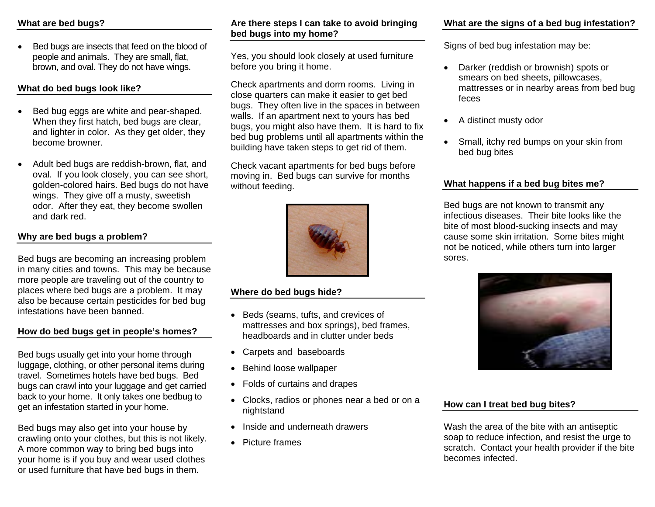Bed bugs are insects that feed on the blood of people and animals. They are small, flat, brown, and oval. They do not have wings.

## **What do bed bugs look like?**

- Bed bug eggs are white and pear-shaped. When they first hatch, bed bugs are clear, and lighter in color. As they get older, they become browner.
- Adult bed bugs are reddish-brown, flat, and oval. If you look closely, you can see short, golden-colored hairs. Bed bugs do not have wings. They give off a musty, sweetish odor. After they eat, they become swollen and dark red.

## **Why are bed bugs a problem?**

Bed bugs are becoming an increasing problem in many cities and towns. This may be because more people are traveling out of the country to places where bed bugs are a problem. It may also be because certain pesticides for bed bug infestations have been banned.

#### **How do bed bugs get in people's homes?**

Bed bugs usually get into your home through luggage, clothing, or other personal items during travel. Sometimes hotels have bed bugs. Bed bugs can crawl into your luggage and get carried back to your home. It only takes one bedbug to get an infestation started in your home.

Bed bugs may also get into your house by crawling onto your clothes, but this is not likely. A more common way to bring bed bugs into your home is if you buy and wear used clothes or used furniture that have bed bugs in them.

## **Are there steps I can take to avoid bringing bed bugs into my home?**

Yes, you should look closely at used furniture before you bring it home.

Check apartments and dorm rooms. Living in close quarters can make it easier to get bed bugs. They often live in the spaces in between walls. If an apartment next to yours has bed bugs, you might also have them. It is hard to fix bed bug problems until all apartments within the building have taken steps to get rid of them.

Check vacant apartments for bed bugs before moving in. Bed bugs can survive for months without feeding.



#### **Where do bed bugs hide?**

- Beds (seams, tufts, and crevices of mattresses and box springs), bed frames, headboards and in clutter under beds
- Carpets and baseboards
- Behind loose wallpaper
- Folds of curtains and drapes
- Clocks, radios or phones near a bed or on a nightstand
- Inside and underneath drawers
- Picture frames

## **What are the signs of a bed bug infestation?**

Signs of bed bug infestation may be:

- Darker (reddish or brownish) spots or smears on bed sheets, pillowcases, mattresses or in nearby areas from bed bug feces
- A distinct musty odor
- Small, itchy red bumps on your skin from bed bug bites

## **What happens if a bed bug bites me?**

Bed bugs are not known to transmit any infectious diseases. Their bite looks like the bite of most blood-sucking insects and may cause some skin irritation. Some bites might not be noticed, while others turn into larger sores.



## **How can I treat bed bug bites?**

Wash the area of the bite with an antiseptic soap to reduce infection, and resist the urge to scratch. Contact your health provider if the bite becomes infected.